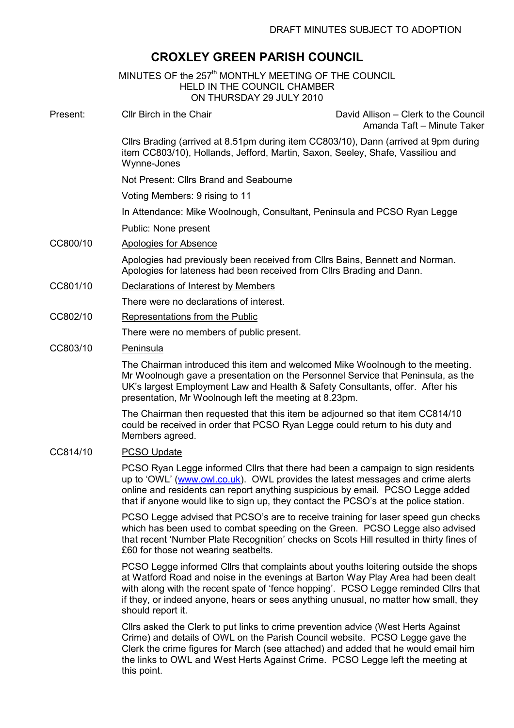# CROXLEY GREEN PARISH COUNCIL

|          | MINUTES OF the 257 <sup>th</sup> MONTHLY MEETING OF THE COUNCIL<br><b>HELD IN THE COUNCIL CHAMBER</b><br>ON THURSDAY 29 JULY 2010                                                                                                                                                                                                           |                                                                    |
|----------|---------------------------------------------------------------------------------------------------------------------------------------------------------------------------------------------------------------------------------------------------------------------------------------------------------------------------------------------|--------------------------------------------------------------------|
| Present: | Cllr Birch in the Chair                                                                                                                                                                                                                                                                                                                     | David Allison – Clerk to the Council<br>Amanda Taft - Minute Taker |
|          | Cllrs Brading (arrived at 8.51pm during item CC803/10), Dann (arrived at 9pm during<br>item CC803/10), Hollands, Jefford, Martin, Saxon, Seeley, Shafe, Vassiliou and<br>Wynne-Jones                                                                                                                                                        |                                                                    |
|          | Not Present: Cllrs Brand and Seabourne                                                                                                                                                                                                                                                                                                      |                                                                    |
|          | Voting Members: 9 rising to 11                                                                                                                                                                                                                                                                                                              |                                                                    |
|          | In Attendance: Mike Woolnough, Consultant, Peninsula and PCSO Ryan Legge                                                                                                                                                                                                                                                                    |                                                                    |
|          | Public: None present                                                                                                                                                                                                                                                                                                                        |                                                                    |
| CC800/10 | Apologies for Absence                                                                                                                                                                                                                                                                                                                       |                                                                    |
|          | Apologies had previously been received from Cllrs Bains, Bennett and Norman.<br>Apologies for lateness had been received from Cllrs Brading and Dann.                                                                                                                                                                                       |                                                                    |
| CC801/10 | Declarations of Interest by Members                                                                                                                                                                                                                                                                                                         |                                                                    |
|          | There were no declarations of interest.                                                                                                                                                                                                                                                                                                     |                                                                    |
| CC802/10 | Representations from the Public                                                                                                                                                                                                                                                                                                             |                                                                    |
|          | There were no members of public present.                                                                                                                                                                                                                                                                                                    |                                                                    |
| CC803/10 | Peninsula                                                                                                                                                                                                                                                                                                                                   |                                                                    |
|          | The Chairman introduced this item and welcomed Mike Woolnough to the meeting.<br>Mr Woolnough gave a presentation on the Personnel Service that Peninsula, as the<br>UK's largest Employment Law and Health & Safety Consultants, offer. After his<br>presentation, Mr Woolnough left the meeting at 8.23pm.                                |                                                                    |
|          | The Chairman then requested that this item be adjourned so that item CC814/10<br>could be received in order that PCSO Ryan Legge could return to his duty and<br>Members agreed.                                                                                                                                                            |                                                                    |
| CC814/10 | <b>PCSO Update</b>                                                                                                                                                                                                                                                                                                                          |                                                                    |
|          | PCSO Ryan Legge informed Cllrs that there had been a campaign to sign residents<br>up to 'OWL' (www.owl.co.uk). OWL provides the latest messages and crime alerts<br>online and residents can report anything suspicious by email. PCSO Legge added<br>that if anyone would like to sign up, they contact the PCSO's at the police station. |                                                                    |
|          | PCSO Legge advised that PCSO's are to receive training for laser speed gun checks<br>which has been used to combat speeding on the Green. PCSO Legge also advised<br>that recent 'Number Plate Recognition' checks on Scots Hill resulted in thirty fines of<br>£60 for those not wearing seatbelts.                                        |                                                                    |
|          | PCSO Legge informed Cllrs that complaints about youths loitering outside the shops                                                                                                                                                                                                                                                          |                                                                    |

at Watford Road and noise in the evenings at Barton Way Play Area had been dealt with along with the recent spate of 'fence hopping'. PCSO Legge reminded Cllrs that if they, or indeed anyone, hears or sees anything unusual, no matter how small, they should report it.

Cllrs asked the Clerk to put links to crime prevention advice (West Herts Against Crime) and details of OWL on the Parish Council website. PCSO Legge gave the Clerk the crime figures for March (see attached) and added that he would email him the links to OWL and West Herts Against Crime. PCSO Legge left the meeting at this point.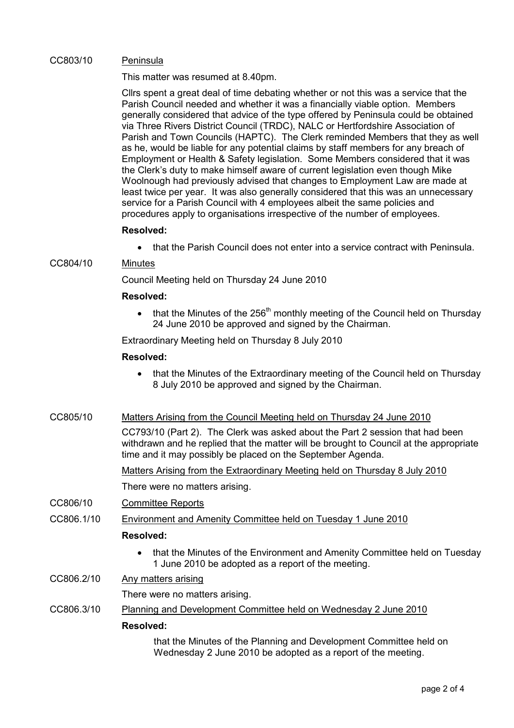### CC803/10 Peninsula

This matter was resumed at 8.40pm.

Cllrs spent a great deal of time debating whether or not this was a service that the Parish Council needed and whether it was a financially viable option. Members generally considered that advice of the type offered by Peninsula could be obtained via Three Rivers District Council (TRDC), NALC or Hertfordshire Association of Parish and Town Councils (HAPTC). The Clerk reminded Members that they as well as he, would be liable for any potential claims by staff members for any breach of Employment or Health & Safety legislation. Some Members considered that it was the Clerk's duty to make himself aware of current legislation even though Mike Woolnough had previously advised that changes to Employment Law are made at least twice per year. It was also generally considered that this was an unnecessary service for a Parish Council with 4 employees albeit the same policies and procedures apply to organisations irrespective of the number of employees.

### Resolved:

• that the Parish Council does not enter into a service contract with Peninsula.

# CC804/10 Minutes

Council Meeting held on Thursday 24 June 2010

### Resolved:

that the Minutes of the  $256<sup>th</sup>$  monthly meeting of the Council held on Thursday 24 June 2010 be approved and signed by the Chairman.

Extraordinary Meeting held on Thursday 8 July 2010

### Resolved:

- that the Minutes of the Extraordinary meeting of the Council held on Thursday 8 July 2010 be approved and signed by the Chairman.
- CC805/10 Matters Arising from the Council Meeting held on Thursday 24 June 2010

CC793/10 (Part 2). The Clerk was asked about the Part 2 session that had been withdrawn and he replied that the matter will be brought to Council at the appropriate time and it may possibly be placed on the September Agenda.

Matters Arising from the Extraordinary Meeting held on Thursday 8 July 2010

There were no matters arising.

- CC806/10 Committee Reports
- CC806.1/10 Environment and Amenity Committee held on Tuesday 1 June 2010

#### Resolved:

- that the Minutes of the Environment and Amenity Committee held on Tuesday 1 June 2010 be adopted as a report of the meeting.
- CC806.2/10 Any matters arising

There were no matters arising.

CC806.3/10 Planning and Development Committee held on Wednesday 2 June 2010

#### Resolved:

that the Minutes of the Planning and Development Committee held on Wednesday 2 June 2010 be adopted as a report of the meeting.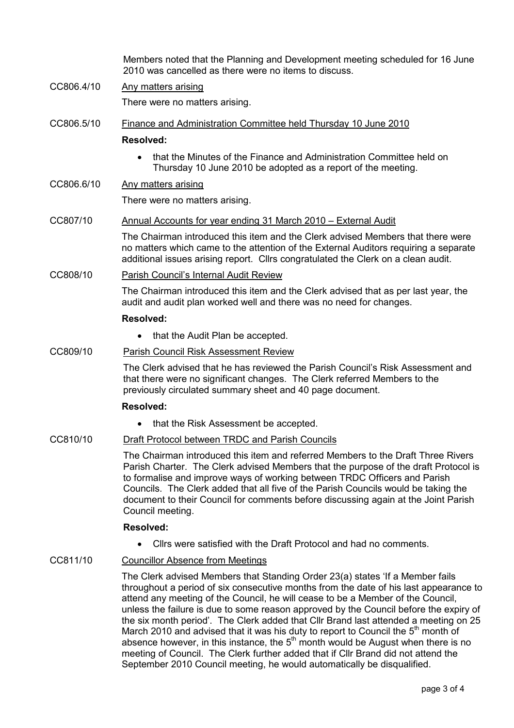Members noted that the Planning and Development meeting scheduled for 16 June 2010 was cancelled as there were no items to discuss.

CC806.4/10 Any matters arising

There were no matters arising.

CC806.5/10 Finance and Administration Committee held Thursday 10 June 2010

# Resolved:

• that the Minutes of the Finance and Administration Committee held on Thursday 10 June 2010 be adopted as a report of the meeting.

# CC806.6/10 Any matters arising

There were no matters arising.

### CC807/10 Annual Accounts for year ending 31 March 2010 – External Audit

The Chairman introduced this item and the Clerk advised Members that there were no matters which came to the attention of the External Auditors requiring a separate additional issues arising report. Cllrs congratulated the Clerk on a clean audit.

#### CC808/10 Parish Council's Internal Audit Review

The Chairman introduced this item and the Clerk advised that as per last year, the audit and audit plan worked well and there was no need for changes.

# Resolved:

• that the Audit Plan be accepted.

### CC809/10 Parish Council Risk Assessment Review

The Clerk advised that he has reviewed the Parish Council's Risk Assessment and that there were no significant changes. The Clerk referred Members to the previously circulated summary sheet and 40 page document.

#### Resolved:

• that the Risk Assessment be accepted.

### CC810/10 Draft Protocol between TRDC and Parish Councils

The Chairman introduced this item and referred Members to the Draft Three Rivers Parish Charter. The Clerk advised Members that the purpose of the draft Protocol is to formalise and improve ways of working between TRDC Officers and Parish Councils. The Clerk added that all five of the Parish Councils would be taking the document to their Council for comments before discussing again at the Joint Parish Council meeting.

#### Resolved:

• Cllrs were satisfied with the Draft Protocol and had no comments.

# CC811/10 Councillor Absence from Meetings

The Clerk advised Members that Standing Order 23(a) states 'If a Member fails throughout a period of six consecutive months from the date of his last appearance to attend any meeting of the Council, he will cease to be a Member of the Council, unless the failure is due to some reason approved by the Council before the expiry of the six month period'. The Clerk added that Cllr Brand last attended a meeting on 25 March 2010 and advised that it was his duty to report to Council the 5<sup>th</sup> month of absence however, in this instance, the  $5<sup>th</sup>$  month would be August when there is no meeting of Council. The Clerk further added that if Cllr Brand did not attend the September 2010 Council meeting, he would automatically be disqualified.